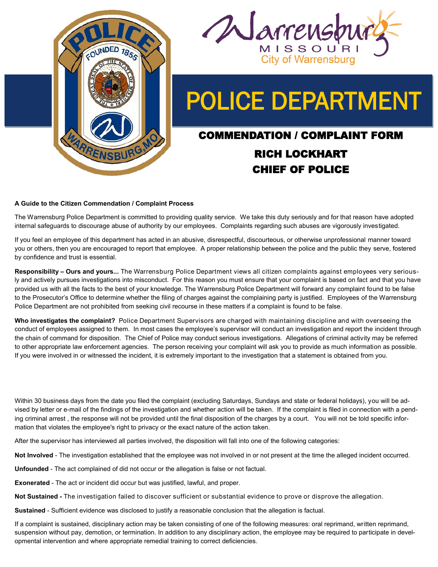



# POLICE DEPARTMENT

## COMMENDATION / COMPLAINT FORM RICH LOCKHART CHIEF OF POLICE

#### **A Guide to the Citizen Commendation / Complaint Process**

The Warrensburg Police Department is committed to providing quality service. We take this duty seriously and for that reason have adopted internal safeguards to discourage abuse of authority by our employees. Complaints regarding such abuses are vigorously investigated.

If you feel an employee of this department has acted in an abusive, disrespectful, discourteous, or otherwise unprofessional manner toward you or others, then you are encouraged to report that employee. A proper relationship between the police and the public they serve, fostered by confidence and trust is essential.

**Responsibility – Ours and yours...** The Warrensburg Police Department views all citizen complaints against employees very seriously and actively pursues investigations into misconduct. For this reason you must ensure that your complaint is based on fact and that you have provided us with all the facts to the best of your knowledge. The Warrensburg Police Department will forward any complaint found to be false to the Prosecutor's Office to determine whether the filing of charges against the complaining party is justified. Employees of the Warrensburg Police Department are not prohibited from seeking civil recourse in these matters if a complaint is found to be false.

**Who investigates the complaint?** Police Department Supervisors are charged with maintaining discipline and with overseeing the conduct of employees assigned to them. In most cases the employee's supervisor will conduct an investigation and report the incident through the chain of command for disposition. The Chief of Police may conduct serious investigations. Allegations of criminal activity may be referred to other appropriate law enforcement agencies. The person receiving your complaint will ask you to provide as much information as possible. If you were involved in or witnessed the incident, it is extremely important to the investigation that a statement is obtained from you.

Within 30 business days from the date you filed the complaint (excluding Saturdays, Sundays and state or federal holidays), you will be advised by letter or e-mail of the findings of the investigation and whether action will be taken. If the complaint is filed in connection with a pending criminal arrest , the response will not be provided until the final disposition of the charges by a court. You will not be told specific information that violates the employee's right to privacy or the exact nature of the action taken.

After the supervisor has interviewed all parties involved, the disposition will fall into one of the following categories:

**Not Involved** - The investigation established that the employee was not involved in or not present at the time the alleged incident occurred.

**Unfounded** - The act complained of did not occur or the allegation is false or not factual.

**Exonerated** - The act or incident did occur but was justified, lawful, and proper.

**Not Sustained -** The investigation failed to discover sufficient or substantial evidence to prove or disprove the allegation.

**Sustained** - Sufficient evidence was disclosed to justify a reasonable conclusion that the allegation is factual.

If a complaint is sustained, disciplinary action may be taken consisting of one of the following measures: oral reprimand, written reprimand, suspension without pay, demotion, or termination. In addition to any disciplinary action, the employee may be required to participate in developmental intervention and where appropriate remedial training to correct deficiencies.